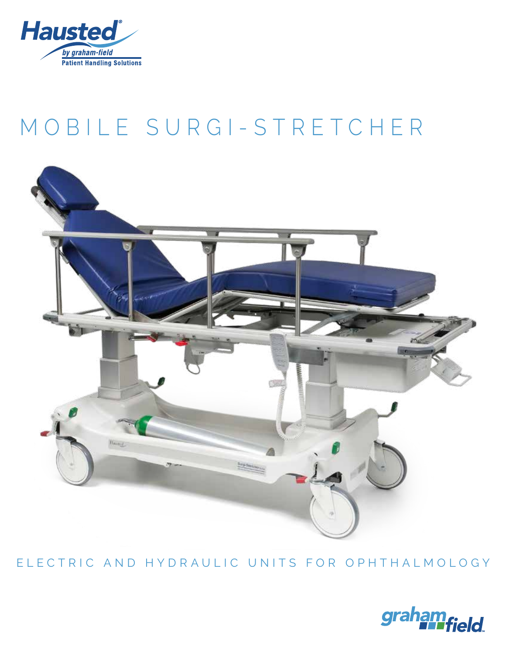

# [MOBILE SURGI-STRETCHER](https://hausted.com/stretchers/#5E8series)



ELECTRIC AND HYDRAULIC UNITS FOR OPHTHALMOLOGY